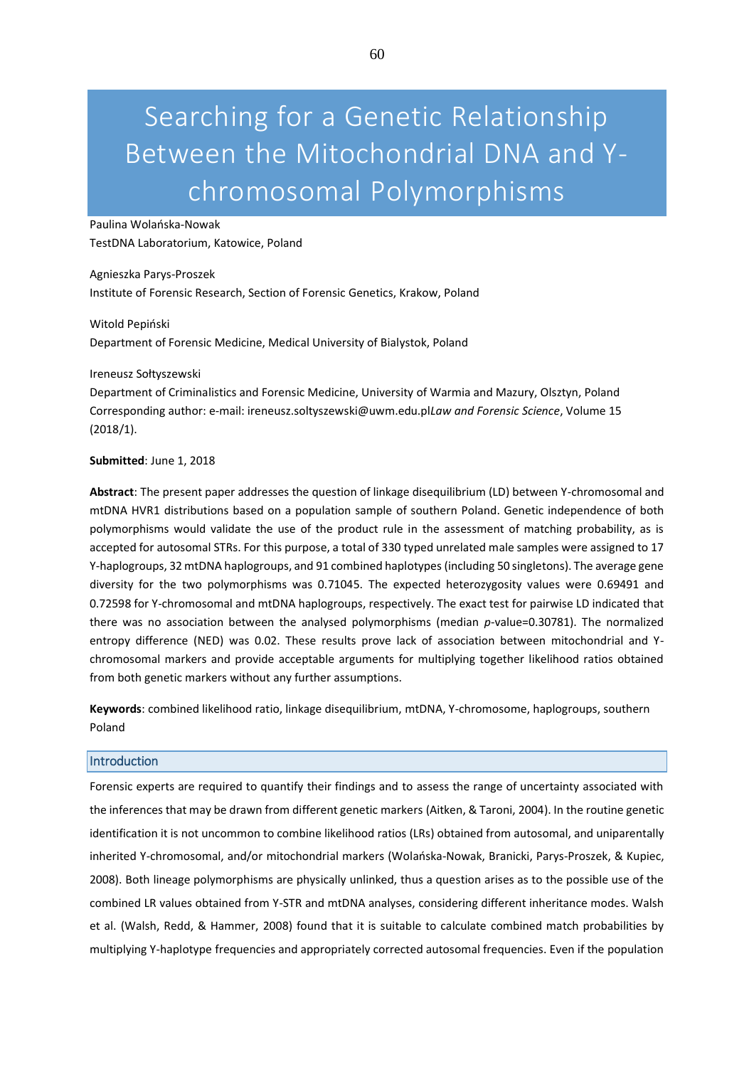# Searching for a Genetic Relationship Between the Mitochondrial DNA and Ychromosomal Polymorphisms

Paulina Wolańska-Nowak TestDNA Laboratorium, Katowice, Poland

Agnieszka Parys-Proszek Institute of Forensic Research, Section of Forensic Genetics, Krakow, Poland

Witold Pepiński Department of Forensic Medicine, Medical University of Bialystok, Poland

## Ireneusz Sołtyszewski

Department of Criminalistics and Forensic Medicine, University of Warmia and Mazury, Olsztyn, Poland Corresponding author: e-mail: ireneusz.soltyszewski@uwm.edu.pl*Law and Forensic Science*, Volume 15 (2018/1).

## **Submitted**: June 1, 2018

**Abstract**: The present paper addresses the question of linkage disequilibrium (LD) between Y-chromosomal and mtDNA HVR1 distributions based on a population sample of southern Poland. Genetic independence of both polymorphisms would validate the use of the product rule in the assessment of matching probability, as is accepted for autosomal STRs. For this purpose, a total of 330 typed unrelated male samples were assigned to 17 Y-haplogroups, 32 mtDNA haplogroups, and 91 combined haplotypes (including 50 singletons). The average gene diversity for the two polymorphisms was 0.71045. The expected heterozygosity values were 0.69491 and 0.72598 for Y-chromosomal and mtDNA haplogroups, respectively. The exact test for pairwise LD indicated that there was no association between the analysed polymorphisms (median *p*-value=0.30781). The normalized entropy difference (NED) was 0.02. These results prove lack of association between mitochondrial and Ychromosomal markers and provide acceptable arguments for multiplying together likelihood ratios obtained from both genetic markers without any further assumptions.

**Keywords**: combined likelihood ratio, linkage disequilibrium, mtDNA, Y-chromosome, haplogroups, southern Poland

#### **Introduction**

Forensic experts are required to quantify their findings and to assess the range of uncertainty associated with the inferences that may be drawn from different genetic markers (Aitken, & Taroni, 2004). In the routine genetic identification it is not uncommon to combine likelihood ratios (LRs) obtained from autosomal, and uniparentally inherited Y-chromosomal, and/or mitochondrial markers (Wolańska-Nowak, Branicki, Parys-Proszek, & Kupiec, 2008). Both lineage polymorphisms are physically unlinked, thus a question arises as to the possible use of the combined LR values obtained from Y-STR and mtDNA analyses, considering different inheritance modes. Walsh et al. (Walsh, Redd, & Hammer, 2008) found that it is suitable to calculate combined match probabilities by multiplying Y-haplotype frequencies and appropriately corrected autosomal frequencies. Even if the population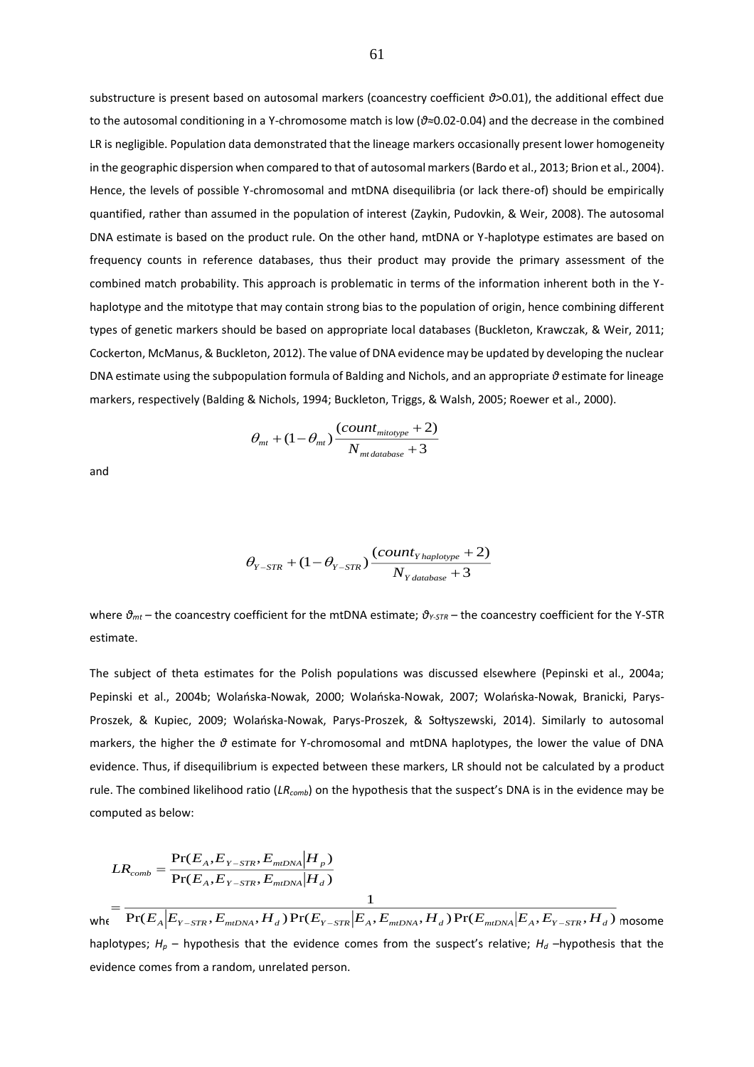substructure is present based on autosomal markers (coancestry coefficient *θ>*0.01), the additional effect due to the autosomal conditioning in a Y-chromosome match is low (*θ≈*0.02-0.04) and the decrease in the combined LR is negligible. Population data demonstrated that the lineage markers occasionally present lower homogeneity in the geographic dispersion when compared to that of autosomal markers (Bardo et al., 2013; Brion et al., 2004). Hence, the levels of possible Y-chromosomal and mtDNA disequilibria (or lack there-of) should be empirically quantified, rather than assumed in the population of interest (Zaykin, Pudovkin, & Weir, 2008). The autosomal DNA estimate is based on the product rule. On the other hand, mtDNA or Y-haplotype estimates are based on frequency counts in reference databases, thus their product may provide the primary assessment of the combined match probability. This approach is problematic in terms of the information inherent both in the Yhaplotype and the mitotype that may contain strong bias to the population of origin, hence combining different types of genetic markers should be based on appropriate local databases (Buckleton, Krawczak, & Weir, 2011; Cockerton, McManus, & Buckleton, 2012). The value of DNA evidence may be updated by developing the nuclear DNA estimate using the subpopulation formula of Balding and Nichols, and an appropriate *θ* estimate for lineage markers, respectively (Balding & Nichols, 1994; Buckleton, Triggs, & Walsh, 2005; Roewer et al., 2000).

$$
\theta_{mt} + (1 - \theta_{mt}) \frac{(count_{mitotype} + 2)}{N_{mt database} + 3}
$$

and

$$
\theta_{Y-STR} + (1 - \theta_{Y-STR}) \frac{(count_{Y haplotype} + 2)}{N_{Y database} + 3}
$$

where *θmt –* the coancestry coefficient for the mtDNA estimate; *θY-STR* – the coancestry coefficient for the Y-STR estimate.

The subject of theta estimates for the Polish populations was discussed elsewhere (Pepinski et al., 2004a; Pepinski et al., 2004b; Wolańska-Nowak, 2000; Wolańska-Nowak, 2007; Wolańska-Nowak, Branicki, Parys-Proszek, & Kupiec, 2009; Wolańska-Nowak, Parys-Proszek, & Sołtyszewski, 2014). Similarly to autosomal markers, the higher the *θ* estimate for Y-chromosomal and mtDNA haplotypes, the lower the value of DNA evidence. Thus, if disequilibrium is expected between these markers, LR should not be calculated by a product rule. The combined likelihood ratio (*LRcomb*) on the hypothesis that the suspect's DNA is in the evidence may be computed as below:

$$
LR_{comb} = \frac{\Pr(E_A, E_{Y-STR}, E_{mIDNA}|H_p)}{\Pr(E_A, E_{Y-STR}, E_{mIDNA}|H_d)} = \frac{1}{\Pr(E_A|E_{Y-STR}, E_{mIDNA}, H_d)\Pr(E_{Y-STR}|E_A, E_{mIDNA}, H_d)\Pr(E_{mIDNA}|E_A, E_{Y-STR}, H_d)}
$$
mosome

haplotypes;  $H_p$  – hypothesis that the evidence comes from the suspect's relative;  $H_d$  –hypothesis that the evidence comes from a random, unrelated person. <sup>−</sup> <sup>−</sup>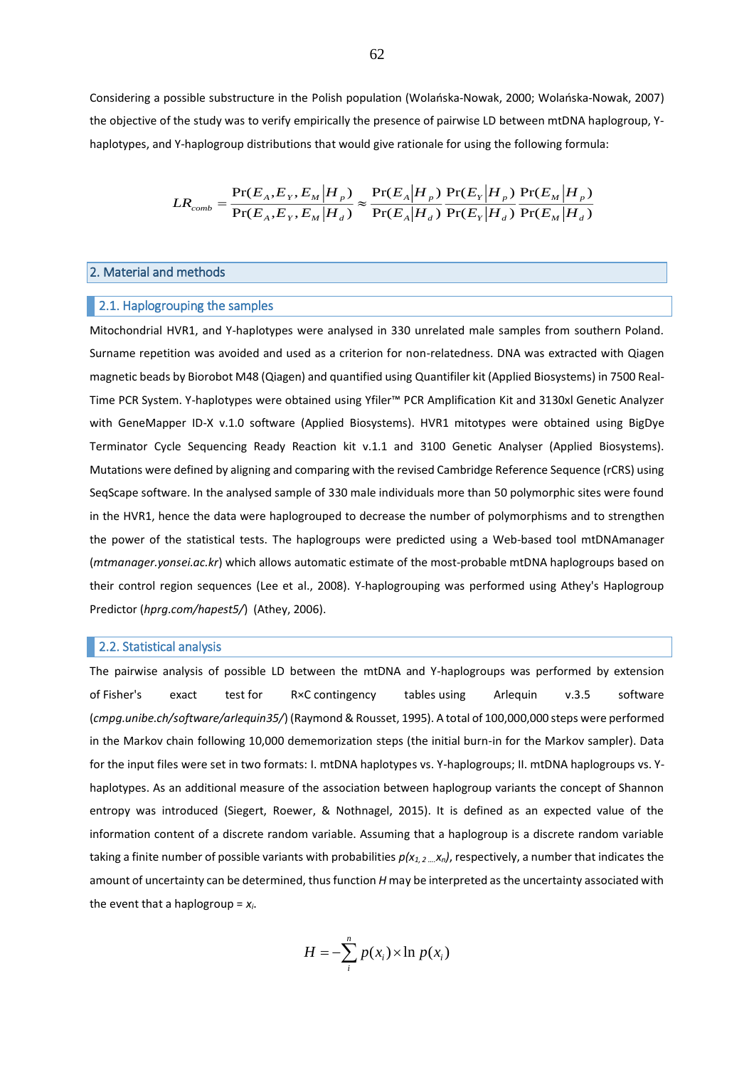Considering a possible substructure in the Polish population (Wolańska-Nowak, 2000; Wolańska-Nowak, 2007) the objective of the study was to verify empirically the presence of pairwise LD between mtDNA haplogroup, Yhaplotypes, and Y-haplogroup distributions that would give rationale for using the following formula:

$$
LR_{comb} = \frac{\Pr(E_A, E_Y, E_M | H_p)}{\Pr(E_A, E_Y, E_M | H_d)} \approx \frac{\Pr(E_A | H_p)}{\Pr(E_A | H_d)} \frac{\Pr(E_Y | H_p)}{\Pr(E_Y | H_d)} \frac{\Pr(E_M | H_p)}{\Pr(E_M | H_d)}
$$

# 2. Material and methods

#### 2.1. Haplogrouping the samples

Mitochondrial HVR1, and Y-haplotypes were analysed in 330 unrelated male samples from southern Poland. Surname repetition was avoided and used as a criterion for non-relatedness. DNA was extracted with Qiagen magnetic beads by Biorobot M48 (Qiagen) and quantified using Quantifiler kit (Applied Biosystems) in 7500 Real-Time PCR System. Y-haplotypes were obtained using Yfiler™ PCR Amplification Kit and 3130xl Genetic Analyzer with GeneMapper ID-X v.1.0 software (Applied Biosystems). HVR1 mitotypes were obtained using BigDye Terminator Cycle Sequencing Ready Reaction kit v.1.1 and 3100 Genetic Analyser (Applied Biosystems). Mutations were defined by aligning and comparing with the revised Cambridge Reference Sequence (rCRS) using SeqScape software. In the analysed sample of 330 male individuals more than 50 polymorphic sites were found in the HVR1, hence the data were haplogrouped to decrease the number of polymorphisms and to strengthen the power of the statistical tests. The haplogroups were predicted using a Web-based tool mtDNAmanager (*mtmanager.yonsei.ac.kr*) which allows automatic estimate of the most-probable mtDNA haplogroups based on their control region sequences (Lee et al., 2008). Y-haplogrouping was performed using Athey's Haplogroup Predictor (*hprg.com/hapest5/*) (Athey, 2006).

# **2.2. Statistical analysis**

The pairwise analysis of possible LD between the mtDNA and Y-haplogroups was performed by extension of Fisher's exact test for R×C contingency tables using Arlequin v.3.5 software (*cmpg.unibe.ch/software/arlequin35/*) (Raymond & Rousset, 1995). A total of 100,000,000 steps were performed in the Markov chain following 10,000 dememorization steps (the initial burn-in for the Markov sampler). Data for the input files were set in two formats: I. mtDNA haplotypes vs. Y-haplogroups; II. mtDNA haplogroups vs. Yhaplotypes. As an additional measure of the association between haplogroup variants the concept of Shannon entropy was introduced (Siegert, Roewer, & Nothnagel, 2015). It is defined as an expected value of the information content of a discrete random variable. Assuming that a haplogroup is a discrete random variable taking a finite number of possible variants with probabilities *p(x1, 2 ….xn)*, respectively, a number that indicates the amount of uncertainty can be determined, thus function *H* may be interpreted as the uncertainty associated with the event that a haplogroup = *xi*.

$$
H = -\sum_{i}^{n} p(x_i) \times \ln p(x_i)
$$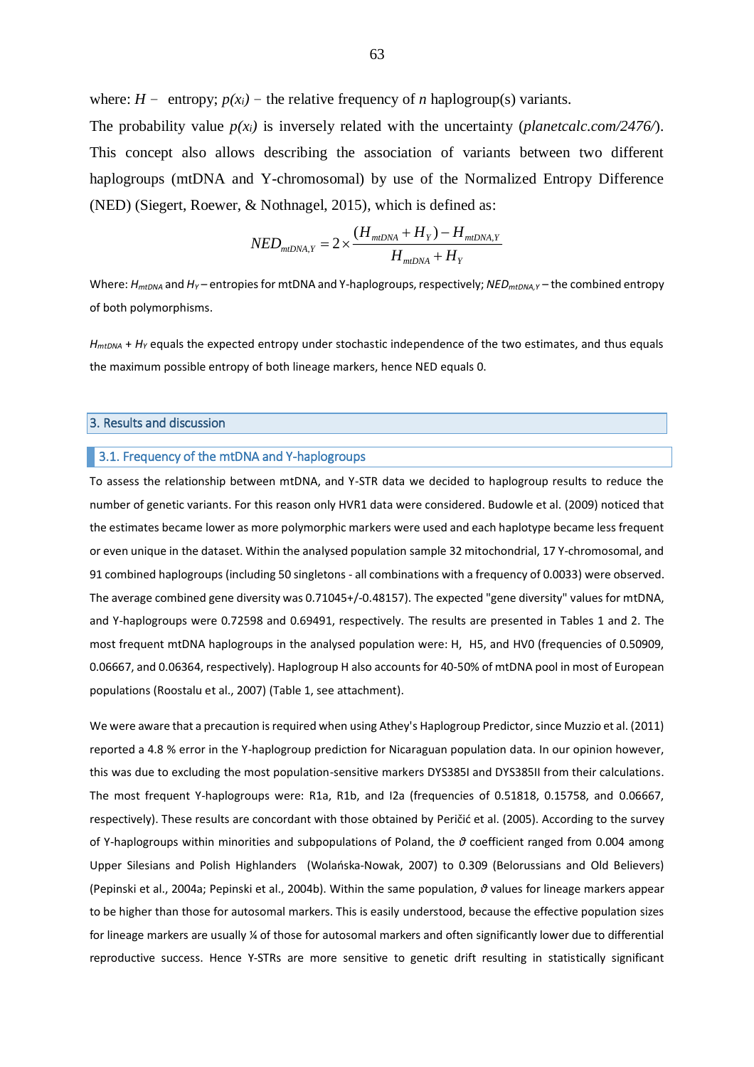where:  $H$  – entropy;  $p(x_i)$  – the relative frequency of *n* haplogroup(s) variants.

The probability value  $p(x_i)$  is inversely related with the uncertainty (*planetcalc.com*/2476/). This concept also allows describing the association of variants between two different haplogroups (mtDNA and Y-chromosomal) by use of the Normalized Entropy Difference (NED) (Siegert, Roewer, & Nothnagel, 2015), which is defined as:

$$
NED_{mtDNA,Y} = 2 \times \frac{(H_{mtDNA} + H_Y) - H_{mtDNA,Y}}{H_{mtDNA} + H_Y}
$$

Where: *H<sub>mtDNA</sub>* and *H<sub>Y</sub>* – entropies for mtDNA and Y-haplogroups, respectively; *NED<sub>mtDNA,Y</sub>* – the combined entropy of both polymorphisms.

 $H_{mtDNA}$  +  $H_Y$  equals the expected entropy under stochastic independence of the two estimates, and thus equals the maximum possible entropy of both lineage markers, hence NED equals 0.

## 3. Results and discussion

# 3.1. Frequency of the mtDNA and Y-haplogroups

To assess the relationship between mtDNA, and Y-STR data we decided to haplogroup results to reduce the number of genetic variants. For this reason only HVR1 data were considered. Budowle et al. (2009) noticed that the estimates became lower as more polymorphic markers were used and each haplotype became less frequent or even unique in the dataset. Within the analysed population sample 32 mitochondrial, 17 Y-chromosomal, and 91 combined haplogroups (including 50 singletons - all combinations with a frequency of 0.0033) were observed. The average combined gene diversity was 0.71045+/-0.48157). The expected "gene diversity" values for mtDNA, and Y-haplogroups were 0.72598 and 0.69491, respectively. The results are presented in Tables 1 and 2. The most frequent mtDNA haplogroups in the analysed population were: H, H5, and HV0 (frequencies of 0.50909, 0.06667, and 0.06364, respectively). Haplogroup H also accounts for 40-50% of mtDNA pool in most of European populations (Roostalu et al., 2007) (Table 1, see attachment).

We were aware that a precaution is required when using Athey's Haplogroup Predictor, since Muzzio et al. (2011) reported a 4.8 % error in the Y-haplogroup prediction for Nicaraguan population data. In our opinion however, this was due to excluding the most population-sensitive markers DYS385I and DYS385II from their calculations. The most frequent Y-haplogroups were: R1a, R1b, and I2a (frequencies of 0.51818, 0.15758, and 0.06667, respectively). These results are concordant with those obtained by Peričić et al. (2005). According to the survey of Y-haplogroups within minorities and subpopulations of Poland, the *θ* coefficient ranged from 0.004 among Upper Silesians and Polish Highlanders (Wolańska-Nowak, 2007) to 0.309 (Belorussians and Old Believers) (Pepinski et al., 2004a; Pepinski et al., 2004b). Within the same population, *θ* values for lineage markers appear to be higher than those for autosomal markers. This is easily understood, because the effective population sizes for lineage markers are usually ¼ of those for autosomal markers and often significantly lower due to differential reproductive success. Hence Y-STRs are more sensitive to genetic drift resulting in statistically significant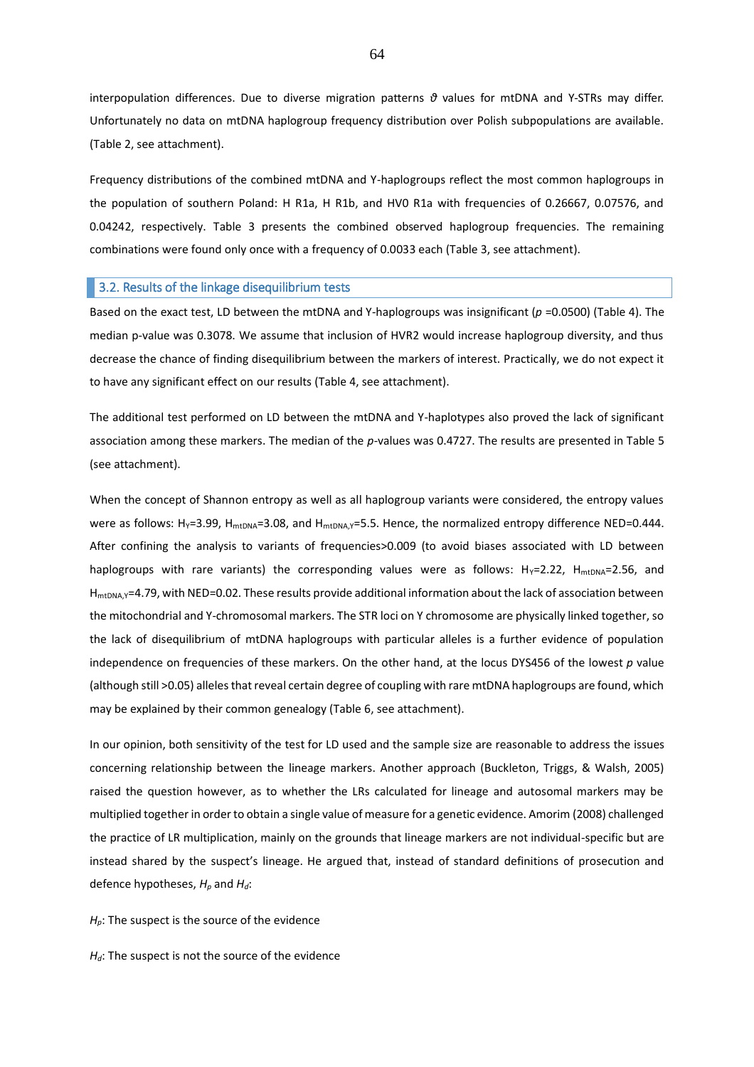interpopulation differences. Due to diverse migration patterns *θ* values for mtDNA and Y-STRs may differ. Unfortunately no data on mtDNA haplogroup frequency distribution over Polish subpopulations are available. (Table 2, see attachment).

Frequency distributions of the combined mtDNA and Y-haplogroups reflect the most common haplogroups in the population of southern Poland: H R1a, H R1b, and HV0 R1a with frequencies of 0.26667, 0.07576, and 0.04242, respectively. Table 3 presents the combined observed haplogroup frequencies. The remaining combinations were found only once with a frequency of 0.0033 each (Table 3, see attachment).

## **3.2. Results of the linkage disequilibrium tests**

Based on the exact test, LD between the mtDNA and Y-haplogroups was insignificant (*p* =0.0500) (Table 4). The median p-value was 0.3078. We assume that inclusion of HVR2 would increase haplogroup diversity, and thus decrease the chance of finding disequilibrium between the markers of interest. Practically, we do not expect it to have any significant effect on our results (Table 4, see attachment).

The additional test performed on LD between the mtDNA and Y-haplotypes also proved the lack of significant association among these markers. The median of the *p*-values was 0.4727. The results are presented in Table 5 (see attachment).

When the concept of Shannon entropy as well as all haplogroup variants were considered, the entropy values were as follows: H<sub>Y</sub>=3.99, H<sub>mtDNA</sub>=3.08, and H<sub>mtDNA,Y</sub>=5.5. Hence, the normalized entropy difference NED=0.444. After confining the analysis to variants of frequencies>0.009 (to avoid biases associated with LD between haplogroups with rare variants) the corresponding values were as follows:  $H_Y=2.22$ ,  $H_{mtDNA}=2.56$ , and H<sub>mtDNA</sub>,y=4.79, with NED=0.02. These results provide additional information about the lack of association between the mitochondrial and Y-chromosomal markers. The STR loci on Y chromosome are physically linked together, so the lack of disequilibrium of mtDNA haplogroups with particular alleles is a further evidence of population independence on frequencies of these markers. On the other hand, at the locus DYS456 of the lowest *p* value (although still >0.05) alleles that reveal certain degree of coupling with rare mtDNA haplogroups are found, which may be explained by their common genealogy (Table 6, see attachment).

In our opinion, both sensitivity of the test for LD used and the sample size are reasonable to address the issues concerning relationship between the lineage markers. Another approach (Buckleton, Triggs, & Walsh, 2005) raised the question however, as to whether the LRs calculated for lineage and autosomal markers may be multiplied together in order to obtain a single value of measure for a genetic evidence. Amorim (2008) challenged the practice of LR multiplication, mainly on the grounds that lineage markers are not individual-specific but are instead shared by the suspect's lineage. He argued that, instead of standard definitions of prosecution and defence hypotheses, *H<sup>p</sup>* and *Hd*:

*H*<sub>p</sub>: The suspect is the source of the evidence

*H*<sup>d</sup>: The suspect is not the source of the evidence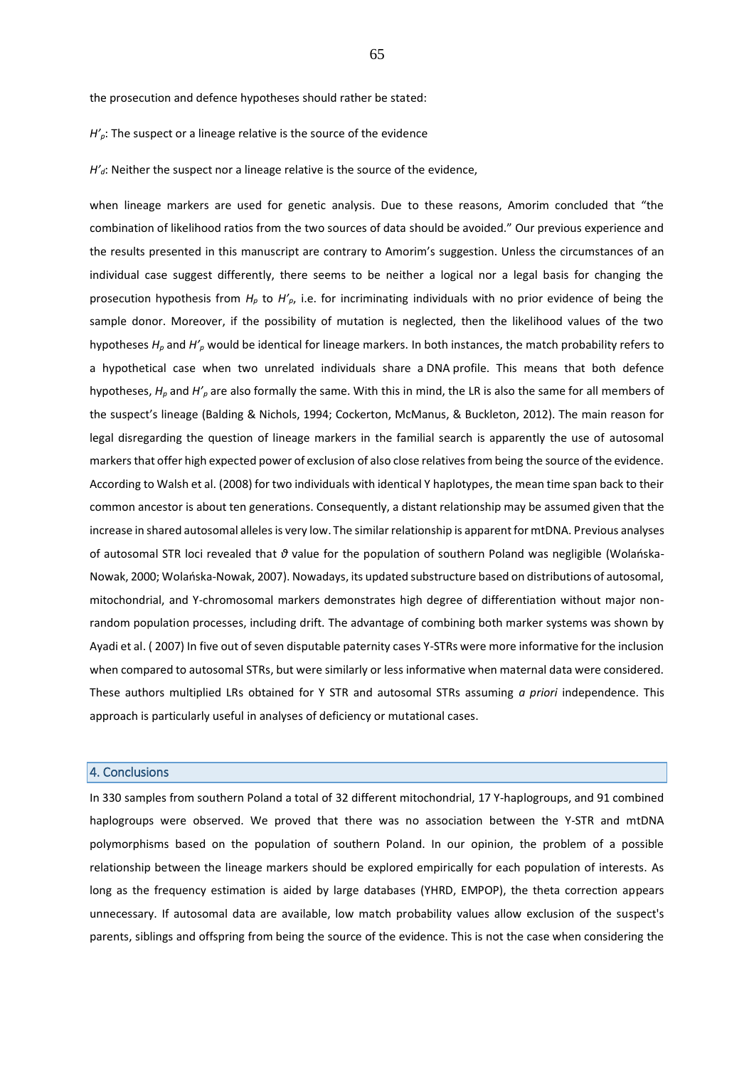the prosecution and defence hypotheses should rather be stated:

*H'*<sub>*p*</sub>: The suspect or a lineage relative is the source of the evidence

*H'<sub>d</sub>*: Neither the suspect nor a lineage relative is the source of the evidence,

when lineage markers are used for genetic analysis. Due to these reasons, Amorim concluded that "the combination of likelihood ratios from the two sources of data should be avoided." Our previous experience and the results presented in this manuscript are contrary to Amorim's suggestion. Unless the circumstances of an individual case suggest differently, there seems to be neither a logical nor a legal basis for changing the prosecution hypothesis from *H<sup>p</sup>* to *H'p*, i.e. for incriminating individuals with no prior evidence of being the sample donor. Moreover, if the possibility of mutation is neglected, then the likelihood values of the two hypotheses *H<sup>p</sup>* and *H'<sup>p</sup>* would be identical for lineage markers. In both instances, the match probability refers to a hypothetical case when two unrelated individuals share a DNA profile. This means that both defence hypotheses, *H<sup>p</sup>* and *H'<sup>p</sup>* are also formally the same. With this in mind, the LR is also the same for all members of the suspect's lineage (Balding & Nichols, 1994; Cockerton, McManus, & Buckleton, 2012). The main reason for legal disregarding the question of lineage markers in the familial search is apparently the use of autosomal markers that offer high expected power of exclusion of also close relatives from being the source of the evidence. According to Walsh et al. (2008) for two individuals with identical Y haplotypes, the mean time span back to their common ancestor is about ten generations. Consequently, a distant relationship may be assumed given that the increase in shared autosomal alleles is very low. The similar relationship is apparent for mtDNA. Previous analyses of autosomal STR loci revealed that *θ* value for the population of southern Poland was negligible (Wolańska-Nowak, 2000; Wolańska-Nowak, 2007). Nowadays, its updated substructure based on distributions of autosomal, mitochondrial, and Y-chromosomal markers demonstrates high degree of differentiation without major nonrandom population processes, including drift. The advantage of combining both marker systems was shown by Ayadi et al. ( 2007) In five out of seven disputable paternity cases Y-STRs were more informative for the inclusion when compared to autosomal STRs, but were similarly or less informative when maternal data were considered. These authors multiplied LRs obtained for Y STR and autosomal STRs assuming *a priori* independence. This approach is particularly useful in analyses of deficiency or mutational cases.

## 4. Conclusions

In 330 samples from southern Poland a total of 32 different mitochondrial, 17 Y-haplogroups, and 91 combined haplogroups were observed. We proved that there was no association between the Y-STR and mtDNA polymorphisms based on the population of southern Poland. In our opinion, the problem of a possible relationship between the lineage markers should be explored empirically for each population of interests. As long as the frequency estimation is aided by large databases (YHRD, EMPOP), the theta correction appears unnecessary. If autosomal data are available, low match probability values allow exclusion of the suspect's parents, siblings and offspring from being the source of the evidence. This is not the case when considering the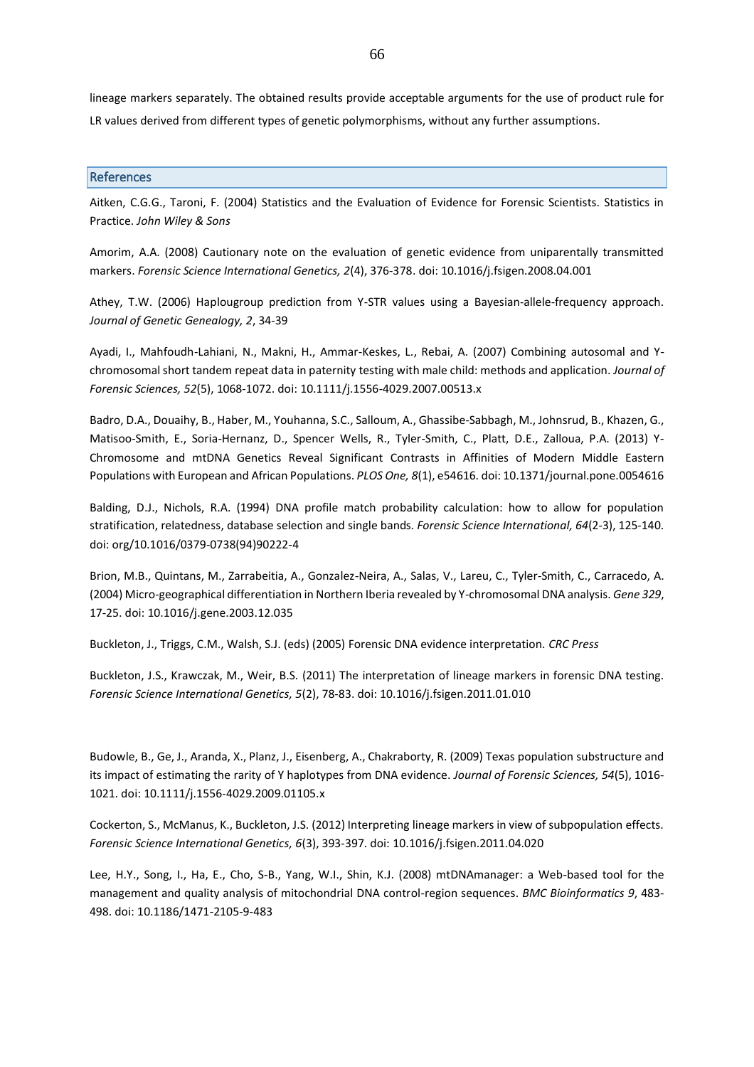lineage markers separately. The obtained results provide acceptable arguments for the use of product rule for LR values derived from different types of genetic polymorphisms, without any further assumptions.

## References

Aitken, C.G.G., Taroni, F. (2004) Statistics and the Evaluation of Evidence for Forensic Scientists. Statistics in Practice. *John Wiley & Sons*

Amorim, A.A. (2008) Cautionary note on the evaluation of genetic evidence from uniparentally transmitted markers. *Forensic Science International Genetics, 2*(4), 376-378. doi: 10.1016/j.fsigen.2008.04.001

Athey, T.W. (2006) Haplougroup prediction from Y-STR values using a Bayesian-allele-frequency approach. *Journal of Genetic Genealogy, 2*, 34-39

Ayadi, I., Mahfoudh-Lahiani, N., Makni, H., Ammar-Keskes, L., Rebai, A. (2007) Combining autosomal and Ychromosomal short tandem repeat data in paternity testing with male child: methods and application. *Journal of Forensic Sciences, 52*(5), 1068-1072. doi: 10.1111/j.1556-4029.2007.00513.x

Badro, D.A., Douaihy, B., Haber, M., Youhanna, S.C., Salloum, A., Ghassibe-Sabbagh, M., Johnsrud, B., Khazen, G., Matisoo-Smith, E., Soria-Hernanz, D., Spencer Wells, R., Tyler-Smith, C., Platt, D.E., Zalloua, P.A. (2013) Y-Chromosome and mtDNA Genetics Reveal Significant Contrasts in Affinities of Modern Middle Eastern Populations with European and African Populations. *PLOS One, 8*(1), e54616. doi: 10.1371/journal.pone.0054616

Balding, D.J., Nichols, R.A. (1994) DNA profile match probability calculation: how to allow for population stratification, relatedness, database selection and single bands. *Forensic Science International, 64*(2-3), 125-140. doi: org/10.1016/0379-0738(94)90222-4

Brion, M.B., Quintans, M., Zarrabeitia, A., Gonzalez-Neira, A., Salas, V., Lareu, C., Tyler-Smith, C., Carracedo, A. (2004) Micro-geographical differentiation in Northern Iberia revealed by Y-chromosomal DNA analysis. *Gene 329*, 17-25. doi: 10.1016/j.gene.2003.12.035

Buckleton, J., Triggs, C.M., Walsh, S.J. (eds) (2005) Forensic DNA evidence interpretation. *CRC Press*

Buckleton, J.S., Krawczak, M., Weir, B.S. (2011) The interpretation of lineage markers in forensic DNA testing. *Forensic Science International Genetics, 5*(2), 78-83. doi: 10.1016/j.fsigen.2011.01.010

Budowle, B., Ge, J., Aranda, X., Planz, J., Eisenberg, A., Chakraborty, R. (2009) Texas population substructure and its impact of estimating the rarity of Y haplotypes from DNA evidence. *Journal of Forensic Sciences, 54*(5), 1016- 1021. doi: 10.1111/j.1556-4029.2009.01105.x

Cockerton, S., McManus, K., Buckleton, J.S. (2012) Interpreting lineage markers in view of subpopulation effects. *Forensic Science International Genetics, 6*(3), 393-397. doi: 10.1016/j.fsigen.2011.04.020

Lee, H.Y., Song, I., Ha, E., Cho, S-B., Yang, W.I., Shin, K.J. (2008) mtDNAmanager: a Web-based tool for the management and quality analysis of mitochondrial DNA control-region sequences. *BMC Bioinformatics 9*, 483- 498. doi: 10.1186/1471-2105-9-483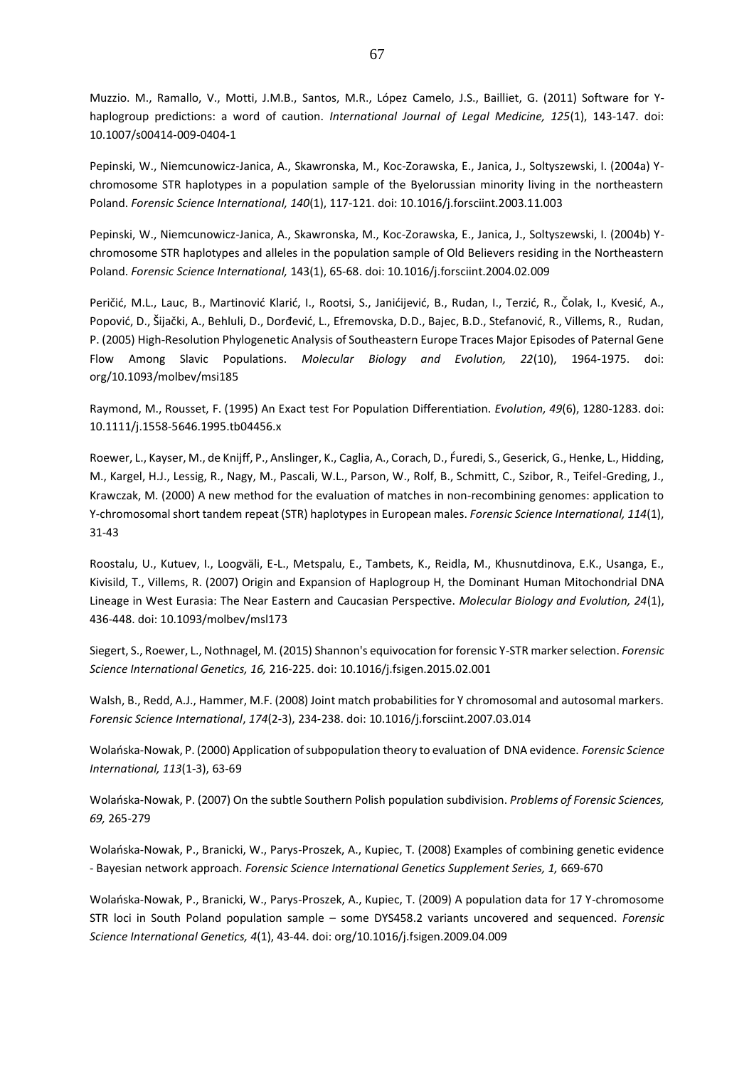Muzzio. M., Ramallo, V., Motti, J.M.B., Santos, M.R., López Camelo, J.S., Bailliet, G. (2011) Software for Yhaplogroup predictions: a word of caution. *International Journal of Legal Medicine, 125*(1), 143-147. doi: 10.1007/s00414-009-0404-1

Pepinski, W., Niemcunowicz-Janica, A., Skawronska, M., Koc-Zorawska, E., Janica, J., Soltyszewski, I. (2004a) Ychromosome STR haplotypes in a population sample of the Byelorussian minority living in the northeastern Poland. *Forensic Science International, 140*(1), 117-121. doi: 10.1016/j.forsciint.2003.11.003

Pepinski, W., Niemcunowicz-Janica, A., Skawronska, M., Koc-Zorawska, E., Janica, J., Soltyszewski, I. (2004b) Ychromosome STR haplotypes and alleles in the population sample of Old Believers residing in the Northeastern Poland. *Forensic Science International,* 143(1), 65-68. doi: 10.1016/j.forsciint.2004.02.009

Peričić, M.L., Lauc, B., Martinović Klarić, I., Rootsi, S., Janićijević, B., Rudan, I., Terzić, R., Čolak, I., Kvesić, A., Popović, D., Šijački, A., Behluli, D., Dorđević, L., Efremovska, D.D., Bajec, B.D., Stefanović, R., Villems, R., Rudan, P. (2005) High-Resolution Phylogenetic Analysis of Southeastern Europe Traces Major Episodes of Paternal Gene Flow Among Slavic Populations. *Molecular Biology and Evolution, 22*(10), 1964-1975. doi: org/10.1093/molbev/msi185

Raymond, M., Rousset, F. (1995) An Exact test For Population Differentiation. *Evolution, 49*(6), 1280-1283. doi: 10.1111/j.1558-5646.1995.tb04456.x

Roewer, L., Kayser, M., de Knijff, P., Anslinger, K., Caglia, A., Corach, D., F́uredi, S., Geserick, G., Henke, L., Hidding, M., Kargel, H.J., Lessig, R., Nagy, M., Pascali, W.L., Parson, W., Rolf, B., Schmitt, C., Szibor, R., Teifel-Greding, J., Krawczak, M. (2000) A new method for the evaluation of matches in non-recombining genomes: application to Y-chromosomal short tandem repeat (STR) haplotypes in European males. *Forensic Science International, 114*(1), 31-43

Roostalu, U., Kutuev, I., Loogväli, E-L., Metspalu, E., Tambets, K., Reidla, M., Khusnutdinova, E.K., Usanga, E., Kivisild, T., Villems, R. (2007) Origin and Expansion of Haplogroup H, the Dominant Human Mitochondrial DNA Lineage in West Eurasia: The Near Eastern and Caucasian Perspective. *Molecular Biology and Evolution, 24*(1), 436-448. doi: 10.1093/molbev/msl173

Siegert, S., Roewer, L., Nothnagel, M. (2015) Shannon's equivocation for forensic Y-STR marker selection. *Forensic Science International Genetics, 16,* 216-225. doi: 10.1016/j.fsigen.2015.02.001

Walsh, B., Redd, A.J., Hammer, M.F. (2008) Joint match probabilities for Y chromosomal and autosomal markers. *Forensic Science International*, *174*(2-3), 234-238. doi: 10.1016/j.forsciint.2007.03.014

Wolańska-Nowak, P. (2000) Application of subpopulation theory to evaluation of DNA evidence. *Forensic Science International, 113*(1-3), 63-69

Wolańska-Nowak, P. (2007) On the subtle Southern Polish population subdivision. *Problems of Forensic Sciences, 69,* 265-279

Wolańska-Nowak, P., Branicki, W., Parys-Proszek, A., Kupiec, T. (2008) Examples of combining genetic evidence - Bayesian network approach. *Forensic Science International Genetics Supplement Series, 1,* 669-670

Wolańska-Nowak, P., Branicki, W., Parys-Proszek, A., Kupiec, T. (2009) A population data for 17 Y-chromosome STR loci in South Poland population sample – some DYS458.2 variants uncovered and sequenced. *Forensic Science International Genetics, 4*(1), 43-44. doi: org/10.1016/j.fsigen.2009.04.009